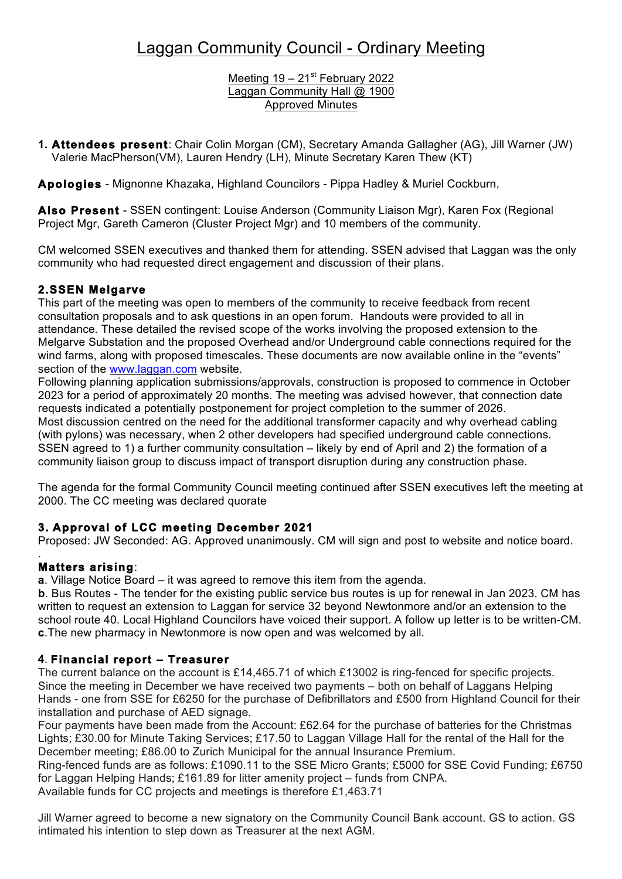Meeting  $19 - 21$ <sup>st</sup> February 2022 Laggan Community Hall @ 1900 Approved Minutes

**1. Attendees present**: Chair Colin Morgan (CM), Secretary Amanda Gallagher (AG), Jill Warner (JW) Valerie MacPherson(VM), Lauren Hendry (LH), Minute Secretary Karen Thew (KT)

**Apologies** - Mignonne Khazaka, Highland Councilors - Pippa Hadley & Muriel Cockburn,

**Also Present** - SSEN contingent: Louise Anderson (Community Liaison Mgr), Karen Fox (Regional Project Mgr, Gareth Cameron (Cluster Project Mgr) and 10 members of the community.

CM welcomed SSEN executives and thanked them for attending. SSEN advised that Laggan was the only community who had requested direct engagement and discussion of their plans.

## **2.SSEN Melgarve**

This part of the meeting was open to members of the community to receive feedback from recent consultation proposals and to ask questions in an open forum. Handouts were provided to all in attendance. These detailed the revised scope of the works involving the proposed extension to the Melgarve Substation and the proposed Overhead and/or Underground cable connections required for the wind farms, along with proposed timescales. These documents are now available online in the "events" section of the www.laggan.com website.

Following planning application submissions/approvals, construction is proposed to commence in October 2023 for a period of approximately 20 months. The meeting was advised however, that connection date requests indicated a potentially postponement for project completion to the summer of 2026. Most discussion centred on the need for the additional transformer capacity and why overhead cabling (with pylons) was necessary, when 2 other developers had specified underground cable connections. SSEN agreed to 1) a further community consultation – likely by end of April and 2) the formation of a community liaison group to discuss impact of transport disruption during any construction phase.

The agenda for the formal Community Council meeting continued after SSEN executives left the meeting at 2000. The CC meeting was declared quorate

## **3. Approval of LCC meeting December 2021**

Proposed: JW Seconded: AG. Approved unanimously. CM will sign and post to website and notice board.

#### . **Matters arising**:

**a**. Village Notice Board – it was agreed to remove this item from the agenda.

**b**. Bus Routes - The tender for the existing public service bus routes is up for renewal in Jan 2023. CM has written to request an extension to Laggan for service 32 beyond Newtonmore and/or an extension to the school route 40. Local Highland Councilors have voiced their support. A follow up letter is to be written-CM. **c**.The new pharmacy in Newtonmore is now open and was welcomed by all.

## **4**. **Financial report – Treasurer**

The current balance on the account is £14,465.71 of which £13002 is ring-fenced for specific projects. Since the meeting in December we have received two payments – both on behalf of Laggans Helping Hands - one from SSE for £6250 for the purchase of Defibrillators and £500 from Highland Council for their installation and purchase of AED signage.

Four payments have been made from the Account: £62.64 for the purchase of batteries for the Christmas Lights; £30.00 for Minute Taking Services; £17.50 to Laggan Village Hall for the rental of the Hall for the December meeting; £86.00 to Zurich Municipal for the annual Insurance Premium.

Ring-fenced funds are as follows: £1090.11 to the SSE Micro Grants; £5000 for SSE Covid Funding; £6750 for Laggan Helping Hands; £161.89 for litter amenity project – funds from CNPA.

Available funds for CC projects and meetings is therefore £1,463.71

Jill Warner agreed to become a new signatory on the Community Council Bank account. GS to action. GS intimated his intention to step down as Treasurer at the next AGM.